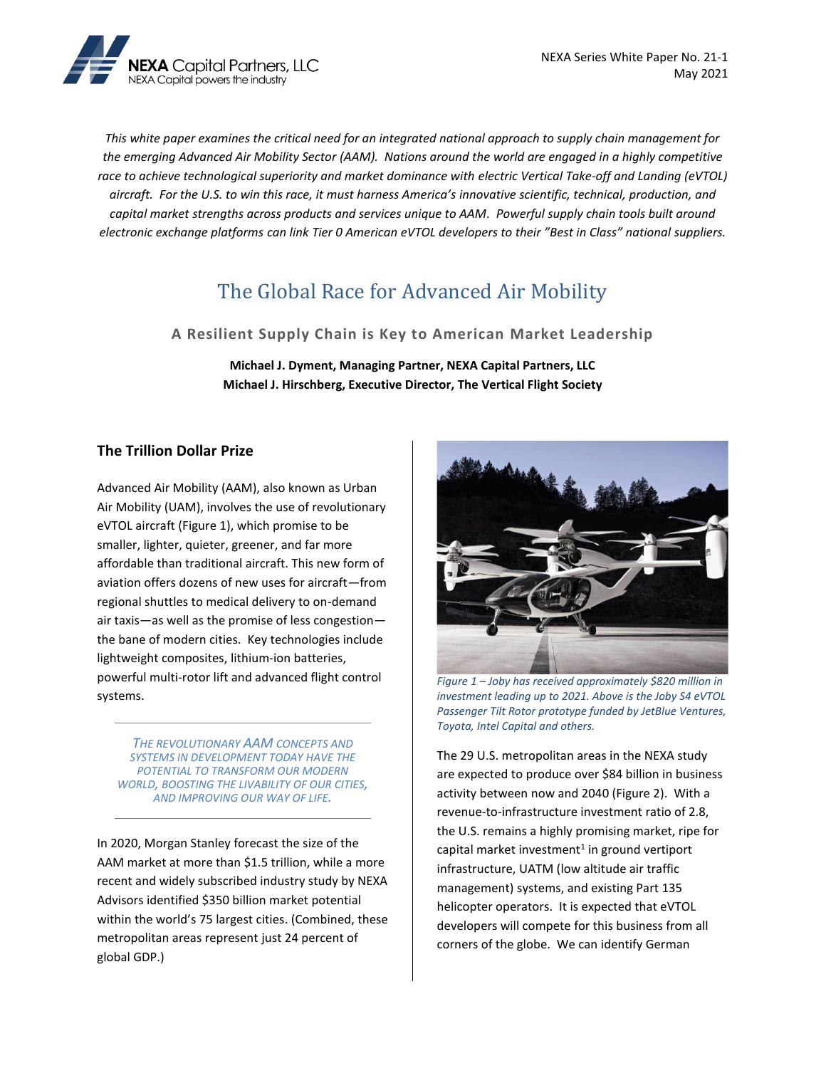

*This white paper examines the critical need for an integrated national approach to supply chain management for the emerging Advanced Air Mobility Sector (AAM). Nations around the world are engaged in a highly competitive*  race to achieve technological superiority and market dominance with electric Vertical Take-off and Landing (eVTOL) *aircraft. For the U.S. to win this race, it must harness America's innovative scientific, technical, production, and capital market strengths across products and services unique to AAM. Powerful supply chain tools built around electronic exchange platforms can link Tier 0 American eVTOL developers to their "Best in Class" national suppliers.* 

# The Global Race for Advanced Air Mobility

**A Resilient Supply Chain is Key to American Market Leadership**

**Michael J. Dyment, Managing Partner, NEXA Capital Partners, LLC Michael J. Hirschberg, Executive Director, The Vertical Flight Society**

#### **The Trillion Dollar Prize**

Advanced Air Mobility (AAM), also known as Urban Air Mobility (UAM), involves the use of revolutionary eVTOL aircraft (Figure 1), which promise to be smaller, lighter, quieter, greener, and far more affordable than traditional aircraft. This new form of aviation offers dozens of new uses for aircraft—from regional shuttles to medical delivery to on-demand air taxis—as well as the promise of less congestion the bane of modern cities. Key technologies include lightweight composites, lithium-ion batteries, powerful multi-rotor lift and advanced flight control systems.

*THE REVOLUTIONARY AAM CONCEPTS AND SYSTEMS IN DEVELOPMENT TODAY HAVE THE POTENTIAL TO TRANSFORM OUR MODERN WORLD, BOOSTING THE LIVABILITY OF OUR CITIES, AND IMPROVING OUR WAY OF LIFE.* 

In 2020, Morgan Stanley forecast the size of the AAM market at more than \$1.5 trillion, while a more recent and widely subscribed industry study by NEXA Advisors identified \$350 billion market potential within the world's 75 largest cities. (Combined, these metropolitan areas represent just 24 percent of global GDP.)



*Figure 1 – Joby has received approximately \$820 million in investment leading up to 2021. Above is the Joby S4 eVTOL Passenger Tilt Rotor prototype funded by JetBlue Ventures, Toyota, Intel Capital and others.* 

The 29 U.S. metropolitan areas in the NEXA study are expected to produce over \$84 billion in business activity between now and 2040 (Figure 2). With a revenue-to-infrastructure investment ratio of 2.8, the U.S. remains a highly promising market, ripe for capital market investment<sup>1</sup> in ground vertiport infrastructure, UATM (low altitude air traffic management) systems, and existing Part 135 helicopter operators. It is expected that eVTOL developers will compete for this business from all corners of the globe. We can identify German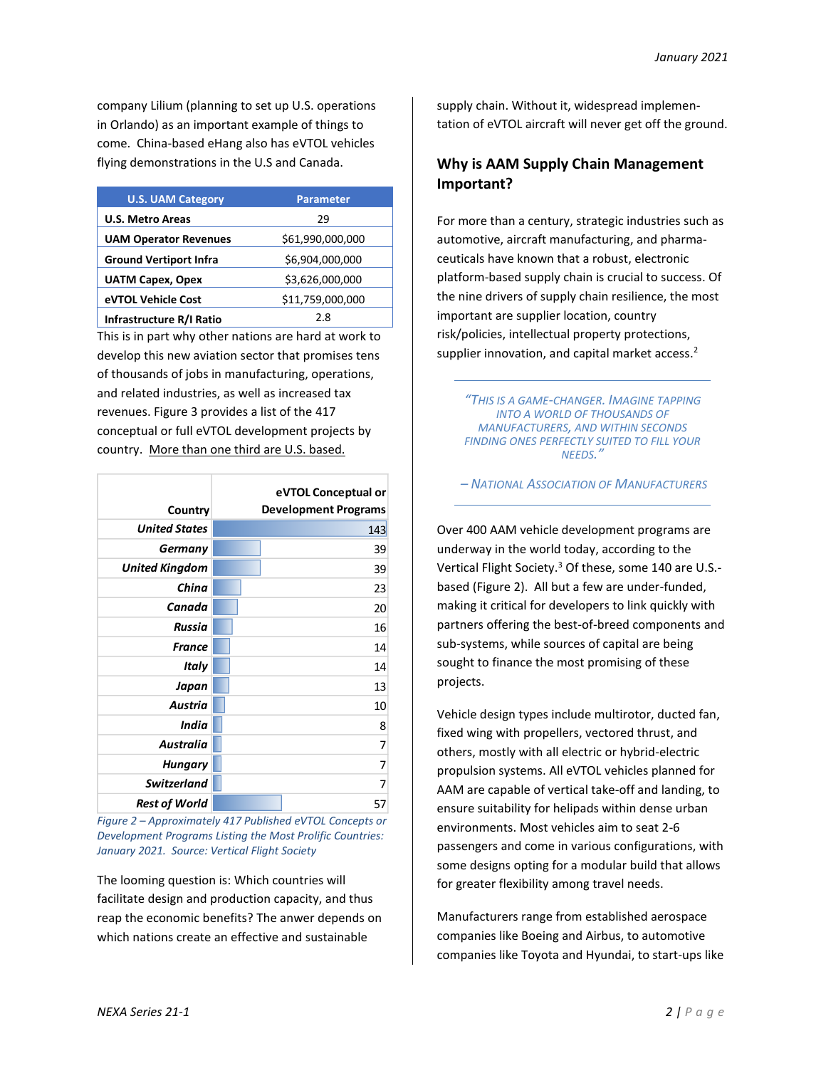company Lilium (planning to set up U.S. operations in Orlando) as an important example of things to come. China-based eHang also has eVTOL vehicles flying demonstrations in the U.S and Canada.

| <b>U.S. UAM Category</b>      | <b>Parameter</b> |
|-------------------------------|------------------|
| <b>U.S. Metro Areas</b>       | 29               |
| <b>UAM Operator Revenues</b>  | \$61,990,000,000 |
| <b>Ground Vertiport Infra</b> | \$6,904,000,000  |
| <b>UATM Capex, Opex</b>       | \$3,626,000,000  |
| eVTOL Vehicle Cost            | \$11,759,000,000 |
| Infrastructure R/I Ratio      | 2.8              |

This is in part why other nations are hard at work to develop this new aviation sector that promises tens of thousands of jobs in manufacturing, operations, and related industries, as well as increased tax revenues. Figure 3 provides a list of the 417 conceptual or full eVTOL development projects by country. More than one third are U.S. based.

| Country               | eVTOL Conceptual or<br><b>Development Programs</b> |
|-----------------------|----------------------------------------------------|
| <b>United States</b>  | 143                                                |
| Germany               | 39                                                 |
| <b>United Kingdom</b> | 39                                                 |
| China                 | 23                                                 |
| Canada                | 20                                                 |
| Russia                | 16                                                 |
| <b>France</b>         | 14                                                 |
| <b>Italy</b>          | 14                                                 |
| Japan                 | 13                                                 |
| Austria               | 10                                                 |
| India                 | 8                                                  |
| <b>Australia</b>      | 7                                                  |
| <b>Hungary</b>        | 7                                                  |
| <b>Switzerland</b>    | 7                                                  |
| <b>Rest of World</b>  | 57                                                 |

*Figure 2 – Approximately 417 Published eVTOL Concepts or Development Programs Listing the Most Prolific Countries: January 2021. Source: Vertical Flight Society*

The looming question is: Which countries will facilitate design and production capacity, and thus reap the economic benefits? The anwer depends on which nations create an effective and sustainable

supply chain. Without it, widespread implementation of eVTOL aircraft will never get off the ground.

### **Why is AAM Supply Chain Management Important?**

For more than a century, strategic industries such as automotive, aircraft manufacturing, and pharmaceuticals have known that a robust, electronic platform-based supply chain is crucial to success. Of the nine drivers of supply chain resilience, the most important are supplier location, country risk/policies, intellectual property protections, supplier innovation, and capital market access.<sup>2</sup>

*"THIS IS A GAME-CHANGER. IMAGINE TAPPING INTO A WORLD OF THOUSANDS OF MANUFACTURERS, AND WITHIN SECONDS FINDING ONES PERFECTLY SUITED TO FILL YOUR NEEDS."*

*– NATIONAL ASSOCIATION OF MANUFACTURERS*

Over 400 AAM vehicle development programs are underway in the world today, according to the Vertical Flight Society.<sup>3</sup> Of these, some 140 are U.S.based (Figure 2). All but a few are under-funded, making it critical for developers to link quickly with partners offering the best-of-breed components and sub-systems, while sources of capital are being sought to finance the most promising of these projects.

Vehicle design types include multirotor, ducted fan, fixed wing with propellers, vectored thrust, and others, mostly with all electric or hybrid-electric propulsion systems. All eVTOL vehicles planned for AAM are capable of vertical take-off and landing, to ensure suitability for helipads within dense urban environments. Most vehicles aim to seat 2-6 passengers and come in various configurations, with some designs opting for a modular build that allows for greater flexibility among travel needs.

Manufacturers range from established aerospace companies like Boeing and Airbus, to automotive companies like Toyota and Hyundai, to start-ups like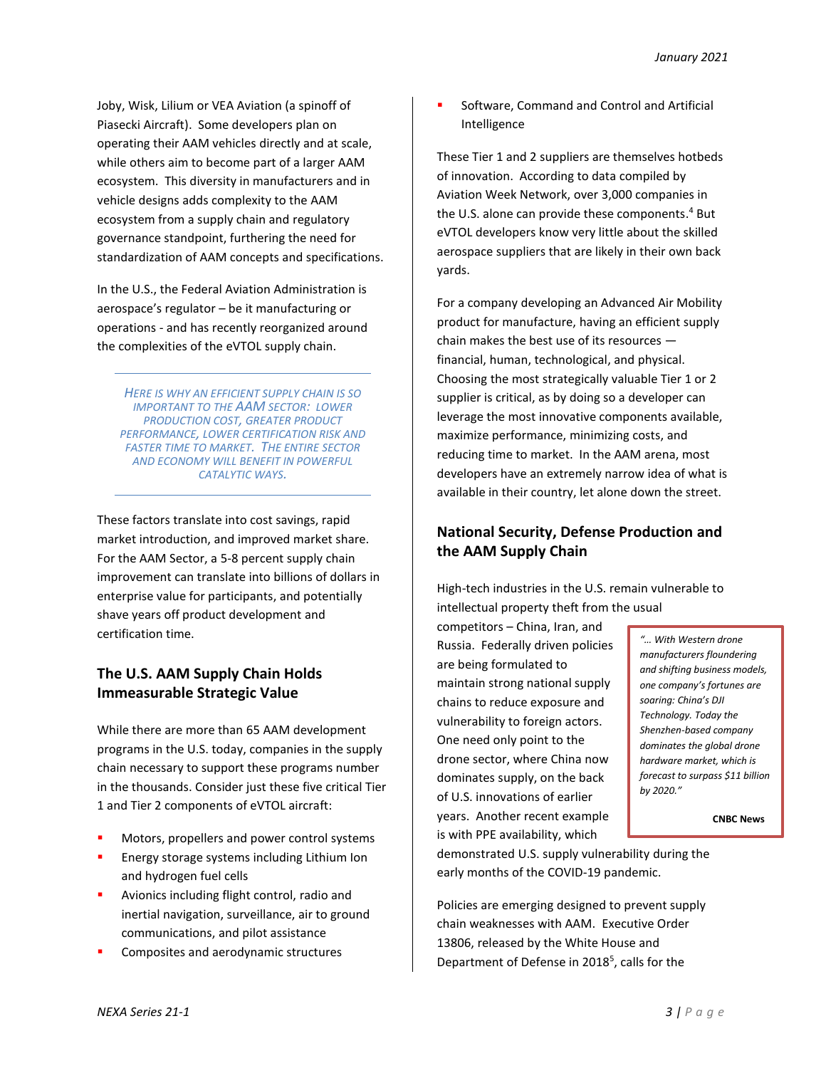Joby, Wisk, Lilium or VEA Aviation (a spinoff of Piasecki Aircraft). Some developers plan on operating their AAM vehicles directly and at scale, while others aim to become part of a larger AAM ecosystem. This diversity in manufacturers and in vehicle designs adds complexity to the AAM ecosystem from a supply chain and regulatory governance standpoint, furthering the need for standardization of AAM concepts and specifications.

In the U.S., the Federal Aviation Administration is aerospace's regulator – be it manufacturing or operations - and has recently reorganized around the complexities of the eVTOL supply chain.

*HERE IS WHY AN EFFICIENT SUPPLY CHAIN IS SO IMPORTANT TO THE AAM SECTOR: LOWER PRODUCTION COST, GREATER PRODUCT PERFORMANCE, LOWER CERTIFICATION RISK AND FASTER TIME TO MARKET. THE ENTIRE SECTOR AND ECONOMY WILL BENEFIT IN POWERFUL CATALYTIC WAYS.*

These factors translate into cost savings, rapid market introduction, and improved market share. For the AAM Sector, a 5-8 percent supply chain improvement can translate into billions of dollars in enterprise value for participants, and potentially shave years off product development and certification time.

# **The U.S. AAM Supply Chain Holds Immeasurable Strategic Value**

While there are more than 65 AAM development programs in the U.S. today, companies in the supply chain necessary to support these programs number in the thousands. Consider just these five critical Tier 1 and Tier 2 components of eVTOL aircraft:

- Motors, propellers and power control systems
- Energy storage systems including Lithium Ion and hydrogen fuel cells
- Avionics including flight control, radio and inertial navigation, surveillance, air to ground communications, and pilot assistance
- Composites and aerodynamic structures

Software, Command and Control and Artificial Intelligence

These Tier 1 and 2 suppliers are themselves hotbeds of innovation. According to data compiled by Aviation Week Network, over 3,000 companies in the U.S. alone can provide these components. <sup>4</sup> But eVTOL developers know very little about the skilled aerospace suppliers that are likely in their own back yards.

For a company developing an Advanced Air Mobility product for manufacture, having an efficient supply chain makes the best use of its resources financial, human, technological, and physical. Choosing the most strategically valuable Tier 1 or 2 supplier is critical, as by doing so a developer can leverage the most innovative components available, maximize performance, minimizing costs, and reducing time to market. In the AAM arena, most developers have an extremely narrow idea of what is available in their country, let alone down the street.

# **National Security, Defense Production and the AAM Supply Chain**

High-tech industries in the U.S. remain vulnerable to intellectual property theft from the usual

competitors – China, Iran, and Russia. Federally driven policies are being formulated to maintain strong national supply chains to reduce exposure and vulnerability to foreign actors. One need only point to the drone sector, where China now dominates supply, on the back of U.S. innovations of earlier years. Another recent example is with PPE availability, which

*"… With Western drone manufacturers floundering and shifting business models, one company's fortunes are soaring: China's DJI Technology. Today the Shenzhen-based company dominates the global drone hardware market, which is forecast to surpass \$11 billion by 2020."*

**CNBC News**

demonstrated U.S. supply vulnerability during the early months of the COVID-19 pandemic.

Policies are emerging designed to prevent supply chain weaknesses with AAM. Executive Order 13806, released by the White House and Department of Defense in 2018<sup>5</sup>, calls for the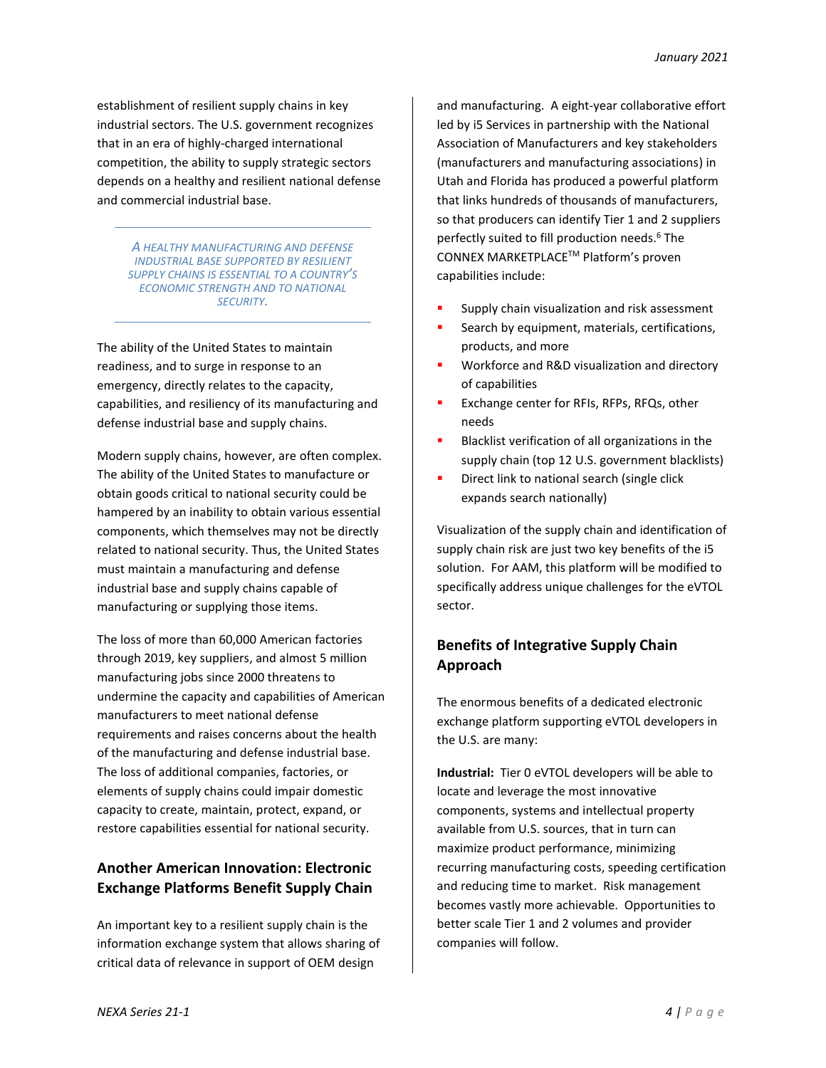establishment of resilient supply chains in key industrial sectors. The U.S. government recognizes that in an era of highly-charged international competition, the ability to supply strategic sectors depends on a healthy and resilient national defense and commercial industrial base.

> *A HEALTHY MANUFACTURING AND DEFENSE INDUSTRIAL BASE SUPPORTED BY RESILIENT SUPPLY CHAINS IS ESSENTIAL TO A COUNTRY'S ECONOMIC STRENGTH AND TO NATIONAL SECURITY.*

The ability of the United States to maintain readiness, and to surge in response to an emergency, directly relates to the capacity, capabilities, and resiliency of its manufacturing and defense industrial base and supply chains.

Modern supply chains, however, are often complex. The ability of the United States to manufacture or obtain goods critical to national security could be hampered by an inability to obtain various essential components, which themselves may not be directly related to national security. Thus, the United States must maintain a manufacturing and defense industrial base and supply chains capable of manufacturing or supplying those items.

The loss of more than 60,000 American factories through 2019, key suppliers, and almost 5 million manufacturing jobs since 2000 threatens to undermine the capacity and capabilities of American manufacturers to meet national defense requirements and raises concerns about the health of the manufacturing and defense industrial base. The loss of additional companies, factories, or elements of supply chains could impair domestic capacity to create, maintain, protect, expand, or restore capabilities essential for national security.

# **Another American Innovation: Electronic Exchange Platforms Benefit Supply Chain**

An important key to a resilient supply chain is the information exchange system that allows sharing of critical data of relevance in support of OEM design

and manufacturing. A eight-year collaborative effort led by i5 Services in partnership with the National Association of Manufacturers and key stakeholders (manufacturers and manufacturing associations) in Utah and Florida has produced a powerful platform that links hundreds of thousands of manufacturers, so that producers can identify Tier 1 and 2 suppliers perfectly suited to fill production needs. <sup>6</sup> The CONNEX MARKETPLACETM Platform's proven capabilities include:

- Supply chain visualization and risk assessment
- Search by equipment, materials, certifications, products, and more
- Workforce and R&D visualization and directory of capabilities
- Exchange center for RFIs, RFPs, RFQs, other needs
- Blacklist verification of all organizations in the supply chain (top 12 U.S. government blacklists)
- Direct link to national search (single click expands search nationally)

Visualization of the supply chain and identification of supply chain risk are just two key benefits of the i5 solution. For AAM, this platform will be modified to specifically address unique challenges for the eVTOL sector.

# **Benefits of Integrative Supply Chain Approach**

The enormous benefits of a dedicated electronic exchange platform supporting eVTOL developers in the U.S. are many:

**Industrial:** Tier 0 eVTOL developers will be able to locate and leverage the most innovative components, systems and intellectual property available from U.S. sources, that in turn can maximize product performance, minimizing recurring manufacturing costs, speeding certification and reducing time to market. Risk management becomes vastly more achievable. Opportunities to better scale Tier 1 and 2 volumes and provider companies will follow.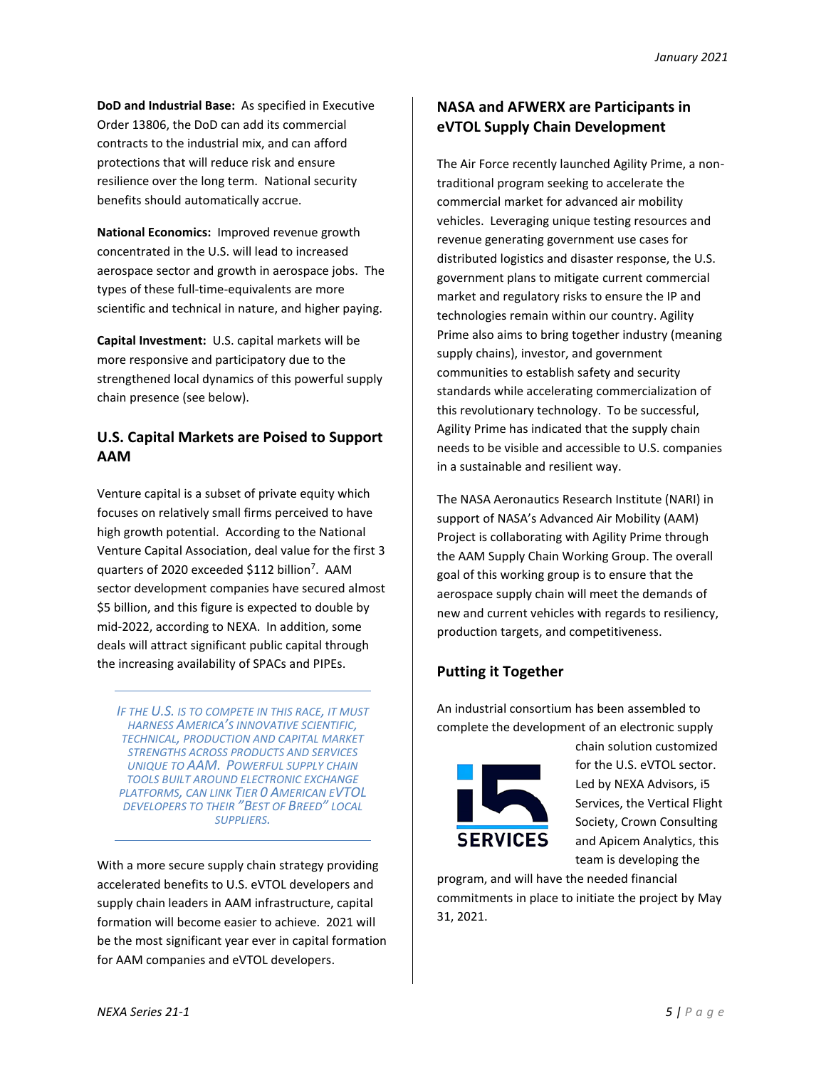**DoD and Industrial Base:** As specified in Executive Order 13806, the DoD can add its commercial contracts to the industrial mix, and can afford protections that will reduce risk and ensure resilience over the long term. National security benefits should automatically accrue.

**National Economics:** Improved revenue growth concentrated in the U.S. will lead to increased aerospace sector and growth in aerospace jobs. The types of these full-time-equivalents are more scientific and technical in nature, and higher paying.

**Capital Investment:** U.S. capital markets will be more responsive and participatory due to the strengthened local dynamics of this powerful supply chain presence (see below).

# **U.S. Capital Markets are Poised to Support AAM**

Venture capital is a subset of private equity which focuses on relatively small firms perceived to have high growth potential. According to the National Venture Capital Association, deal value for the first 3 quarters of 2020 exceeded \$112 billion<sup>7</sup>. AAM sector development companies have secured almost \$5 billion, and this figure is expected to double by mid-2022, according to NEXA. In addition, some deals will attract significant public capital through the increasing availability of SPACs and PIPEs.

*IF THE U.S. IS TO COMPETE IN THIS RACE, IT MUST HARNESS AMERICA'S INNOVATIVE SCIENTIFIC, TECHNICAL, PRODUCTION AND CAPITAL MARKET STRENGTHS ACROSS PRODUCTS AND SERVICES UNIQUE TO AAM. POWERFUL SUPPLY CHAIN TOOLS BUILT AROUND ELECTRONIC EXCHANGE PLATFORMS, CAN LINK TIER 0 AMERICAN EVTOL DEVELOPERS TO THEIR "BEST OF BREED" LOCAL SUPPLIERS.*

With a more secure supply chain strategy providing accelerated benefits to U.S. eVTOL developers and supply chain leaders in AAM infrastructure, capital formation will become easier to achieve. 2021 will be the most significant year ever in capital formation for AAM companies and eVTOL developers.

# **NASA and AFWERX are Participants in eVTOL Supply Chain Development**

The Air Force recently launched Agility Prime, a nontraditional program seeking to accelerate the commercial market for advanced air mobility vehicles. Leveraging unique testing resources and revenue generating government use cases for distributed logistics and disaster response, the U.S. government plans to mitigate current commercial market and regulatory risks to ensure the IP and technologies remain within our country. Agility Prime also aims to bring together industry (meaning supply chains), investor, and government communities to establish safety and security standards while accelerating commercialization of this revolutionary technology. To be successful, Agility Prime has indicated that the supply chain needs to be visible and accessible to U.S. companies in a sustainable and resilient way.

The NASA Aeronautics Research Institute (NARI) in support of NASA's Advanced Air Mobility (AAM) Project is collaborating with Agility Prime through the AAM Supply Chain Working Group. The overall goal of this working group is to ensure that the aerospace supply chain will meet the demands of new and current vehicles with regards to resiliency, production targets, and competitiveness.

# **Putting it Together**

An industrial consortium has been assembled to complete the development of an electronic supply



chain solution customized for the U.S. eVTOL sector. Led by NEXA Advisors, i5 Services, the Vertical Flight Society, Crown Consulting and Apicem Analytics, this team is developing the

program, and will have the needed financial commitments in place to initiate the project by May 31, 2021.